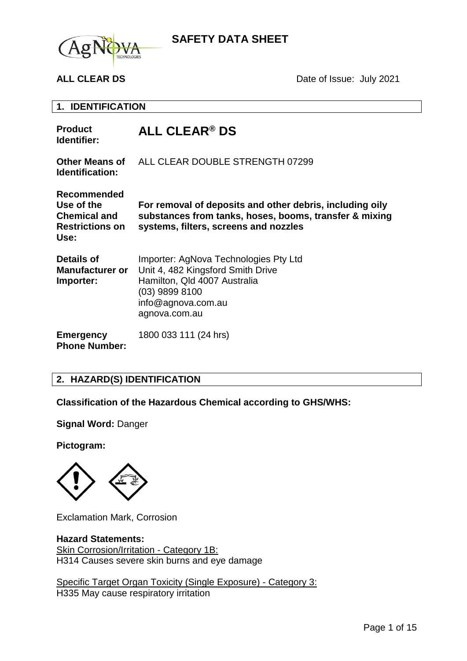

**ALL CLEAR DS** Date of Issue: July 2021

**1. IDENTIFICATION**

| <b>Product</b><br>Identifier:                                                             | ALL CLEAR <sup>®</sup> DS                                                                                                                                           |
|-------------------------------------------------------------------------------------------|---------------------------------------------------------------------------------------------------------------------------------------------------------------------|
| <b>Other Means of</b><br><b>Identification:</b>                                           | ALL CLEAR DOUBLE STRENGTH 07299                                                                                                                                     |
| <b>Recommended</b><br>Use of the<br><b>Chemical and</b><br><b>Restrictions on</b><br>Use: | For removal of deposits and other debris, including oily<br>substances from tanks, hoses, booms, transfer & mixing<br>systems, filters, screens and nozzles         |
| Details of<br><b>Manufacturer or</b><br>Importer:                                         | Importer: AgNova Technologies Pty Ltd<br>Unit 4, 482 Kingsford Smith Drive<br>Hamilton, Qld 4007 Australia<br>(03) 9899 8100<br>info@agnova.com.au<br>agnova.com.au |
| <b>Emergency</b><br><b>Phone Number:</b>                                                  | 1800 033 111 (24 hrs)                                                                                                                                               |

## **2. HAZARD(S) IDENTIFICATION**

**Classification of the Hazardous Chemical according to GHS/WHS:**

**Signal Word:** Danger

**Pictogram:**



Exclamation Mark, Corrosion

#### **Hazard Statements:**

Skin Corrosion/Irritation - Category 1B: H314 Causes severe skin burns and eye damage

Specific Target Organ Toxicity (Single Exposure) - Category 3: H335 May cause respiratory irritation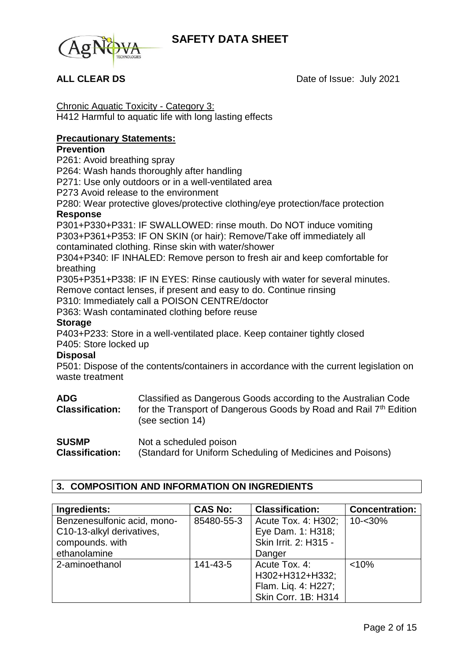

**ALL CLEAR DS** Date of Issue: July 2021

Chronic Aquatic Toxicity - Category 3: H412 Harmful to aquatic life with long lasting effects

## **Precautionary Statements:**

### **Prevention**

P261: Avoid breathing spray

P264: Wash hands thoroughly after handling

P271: Use only outdoors or in a well-ventilated area

P273 Avoid release to the environment

P280: Wear protective gloves/protective clothing/eye protection/face protection **Response**

P301+P330+P331: IF SWALLOWED: rinse mouth. Do NOT induce vomiting P303+P361+P353: IF ON SKIN (or hair): Remove/Take off immediately all contaminated clothing. Rinse skin with water/shower

P304+P340: IF INHALED: Remove person to fresh air and keep comfortable for breathing

P305+P351+P338: IF IN EYES: Rinse cautiously with water for several minutes. Remove contact lenses, if present and easy to do. Continue rinsing

P310: Immediately call a POISON CENTRE/doctor

P363: Wash contaminated clothing before reuse

#### **Storage**

P403+P233: Store in a well-ventilated place. Keep container tightly closed

P405: Store locked up

### **Disposal**

P501: Dispose of the contents/containers in accordance with the current legislation on waste treatment

| <b>ADG</b><br><b>Classification:</b> | Classified as Dangerous Goods according to the Australian Code<br>for the Transport of Dangerous Goods by Road and Rail 7th Edition<br>(see section 14) |
|--------------------------------------|---------------------------------------------------------------------------------------------------------------------------------------------------------|
| <b>SUSMP</b>                         | Not a scheduled poison                                                                                                                                  |
| <b>Classification:</b>               | (Standard for Uniform Scheduling of Medicines and Poisons)                                                                                              |

# **3. COMPOSITION AND INFORMATION ON INGREDIENTS**

| Ingredients:                | <b>CAS No:</b> | <b>Classification:</b> | <b>Concentration:</b> |
|-----------------------------|----------------|------------------------|-----------------------|
| Benzenesulfonic acid, mono- | 85480-55-3     | Acute Tox. 4: H302;    | $10 - 30%$            |
| C10-13-alkyl derivatives,   |                | Eye Dam. 1: H318;      |                       |
| compounds. with             |                | Skin Irrit. 2: H315 -  |                       |
| ethanolamine                |                | Danger                 |                       |
| 2-aminoethanol              | 141-43-5       | Acute Tox. 4:          | < 10%                 |
|                             |                | H302+H312+H332;        |                       |
|                             |                | Flam. Liq. 4: H227;    |                       |
|                             |                | Skin Corr. 1B: H314    |                       |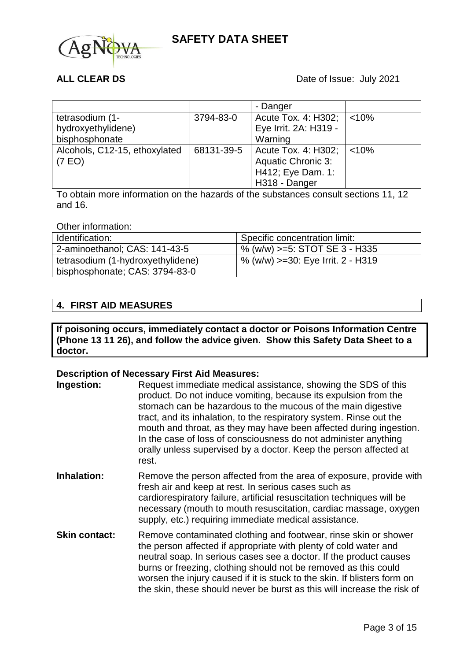

|                               |            | - Danger                  |       |
|-------------------------------|------------|---------------------------|-------|
| tetrasodium (1-               | 3794-83-0  | Acute Tox. 4: H302;       | < 10% |
| hydroxyethylidene)            |            | Eye Irrit. 2A: H319 -     |       |
| bisphosphonate                |            | Warning                   |       |
| Alcohols, C12-15, ethoxylated | 68131-39-5 | Acute Tox. 4: H302;       | < 10% |
| (7 EO)                        |            | <b>Aquatic Chronic 3:</b> |       |
|                               |            | H412; Eye Dam. 1:         |       |
|                               |            | H318 - Danger             |       |

To obtain more information on the hazards of the substances consult sections 11, 12 and 16.

#### Other information:

| Identification:                   | <sup>1</sup> Specific concentration limit: |
|-----------------------------------|--------------------------------------------|
| 2-aminoethanol; CAS: 141-43-5     | $\%$ (w/w) >=5: STOT SE 3 - H335           |
| tetrasodium (1-hydroxyethylidene) | % (w/w) >=30: Eye Irrit. 2 - H319          |
| bisphosphonate; CAS: 3794-83-0    |                                            |

### **4. FIRST AID MEASURES**

**If poisoning occurs, immediately contact a doctor or Poisons Information Centre (Phone 13 11 26), and follow the advice given. Show this Safety Data Sheet to a doctor.**

#### **Description of Necessary First Aid Measures:**

| Ingestion:           | Request immediate medical assistance, showing the SDS of this<br>product. Do not induce vomiting, because its expulsion from the<br>stomach can be hazardous to the mucous of the main digestive<br>tract, and its inhalation, to the respiratory system. Rinse out the<br>mouth and throat, as they may have been affected during ingestion.<br>In the case of loss of consciousness do not administer anything<br>orally unless supervised by a doctor. Keep the person affected at<br>rest. |
|----------------------|------------------------------------------------------------------------------------------------------------------------------------------------------------------------------------------------------------------------------------------------------------------------------------------------------------------------------------------------------------------------------------------------------------------------------------------------------------------------------------------------|
| Inhalation:          | Remove the person affected from the area of exposure, provide with<br>fresh air and keep at rest. In serious cases such as<br>cardiorespiratory failure, artificial resuscitation techniques will be<br>necessary (mouth to mouth resuscitation, cardiac massage, oxygen<br>supply, etc.) requiring immediate medical assistance.                                                                                                                                                              |
| <b>Skin contact:</b> | Remove contaminated clothing and footwear, rinse skin or shower<br>the person affected if appropriate with plenty of cold water and<br>neutral soap. In serious cases see a doctor. If the product causes<br>burns or freezing, clothing should not be removed as this could<br>worsen the injury caused if it is stuck to the skin. If blisters form on<br>the skin, these should never be burst as this will increase the risk of                                                            |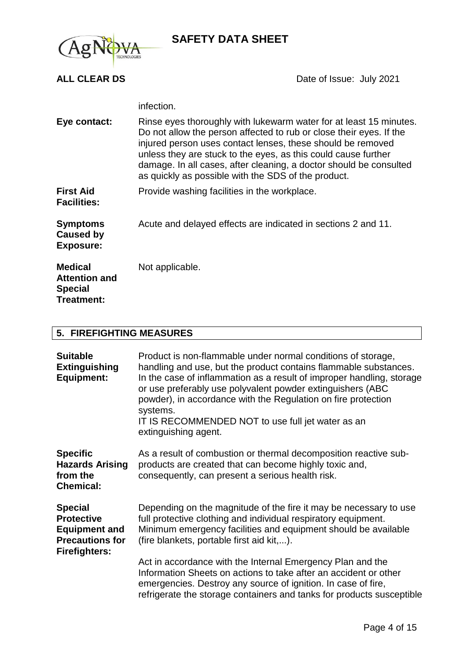

**ALL CLEAR DS** Date of Issue: July 2021

|                                                                        | infection.                                                                                                                                                                                                                                                                                                                                                                                              |
|------------------------------------------------------------------------|---------------------------------------------------------------------------------------------------------------------------------------------------------------------------------------------------------------------------------------------------------------------------------------------------------------------------------------------------------------------------------------------------------|
| Eye contact:                                                           | Rinse eyes thoroughly with lukewarm water for at least 15 minutes.<br>Do not allow the person affected to rub or close their eyes. If the<br>injured person uses contact lenses, these should be removed<br>unless they are stuck to the eyes, as this could cause further<br>damage. In all cases, after cleaning, a doctor should be consulted<br>as quickly as possible with the SDS of the product. |
| <b>First Aid</b><br><b>Facilities:</b>                                 | Provide washing facilities in the workplace.                                                                                                                                                                                                                                                                                                                                                            |
| <b>Symptoms</b><br><b>Caused by</b><br><b>Exposure:</b>                | Acute and delayed effects are indicated in sections 2 and 11.                                                                                                                                                                                                                                                                                                                                           |
| <b>Medical</b><br><b>Attention and</b><br><b>Special</b><br>Treatment: | Not applicable.                                                                                                                                                                                                                                                                                                                                                                                         |

## **5. FIREFIGHTING MEASURES**

| <b>Suitable</b><br><b>Extinguishing</b><br><b>Equipment:</b>                                                  | Product is non-flammable under normal conditions of storage,<br>handling and use, but the product contains flammable substances.<br>In the case of inflammation as a result of improper handling, storage<br>or use preferably use polyvalent powder extinguishers (ABC<br>powder), in accordance with the Regulation on fire protection<br>systems.<br>IT IS RECOMMENDED NOT to use full jet water as an<br>extinguishing agent. |
|---------------------------------------------------------------------------------------------------------------|-----------------------------------------------------------------------------------------------------------------------------------------------------------------------------------------------------------------------------------------------------------------------------------------------------------------------------------------------------------------------------------------------------------------------------------|
| <b>Specific</b><br><b>Hazards Arising</b><br>from the<br><b>Chemical:</b>                                     | As a result of combustion or thermal decomposition reactive sub-<br>products are created that can become highly toxic and,<br>consequently, can present a serious health risk.                                                                                                                                                                                                                                                    |
| <b>Special</b><br><b>Protective</b><br><b>Equipment and</b><br><b>Precautions for</b><br><b>Firefighters:</b> | Depending on the magnitude of the fire it may be necessary to use<br>full protective clothing and individual respiratory equipment.<br>Minimum emergency facilities and equipment should be available<br>(fire blankets, portable first aid kit,).                                                                                                                                                                                |
|                                                                                                               | Act in accordance with the Internal Emergency Plan and the<br>Information Sheets on actions to take after an accident or other<br>emergencies. Destroy any source of ignition. In case of fire,<br>refrigerate the storage containers and tanks for products susceptible                                                                                                                                                          |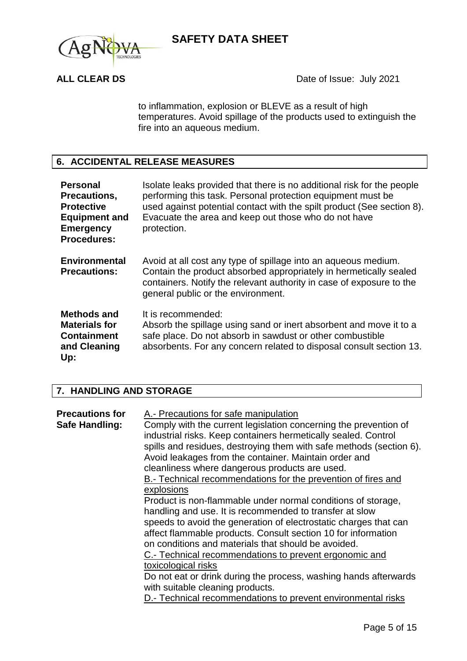



to inflammation, explosion or BLEVE as a result of high temperatures. Avoid spillage of the products used to extinguish the fire into an aqueous medium.

## **6. ACCIDENTAL RELEASE MEASURES**

| <b>Personal</b><br>Precautions,<br><b>Protective</b><br><b>Equipment and</b><br><b>Emergency</b><br><b>Procedures:</b> | Isolate leaks provided that there is no additional risk for the people<br>performing this task. Personal protection equipment must be<br>used against potential contact with the spilt product (See section 8).<br>Evacuate the area and keep out those who do not have<br>protection. |
|------------------------------------------------------------------------------------------------------------------------|----------------------------------------------------------------------------------------------------------------------------------------------------------------------------------------------------------------------------------------------------------------------------------------|
| <b>Environmental</b><br><b>Precautions:</b>                                                                            | Avoid at all cost any type of spillage into an aqueous medium.<br>Contain the product absorbed appropriately in hermetically sealed<br>containers. Notify the relevant authority in case of exposure to the<br>general public or the environment.                                      |
| Methods and<br><b>Materials for</b><br><b>Containment</b><br>and Cleaning<br>Up:                                       | It is recommended:<br>Absorb the spillage using sand or inert absorbent and move it to a<br>safe place. Do not absorb in sawdust or other combustible<br>absorbents. For any concern related to disposal consult section 13.                                                           |

## **7. HANDLING AND STORAGE**

| <b>Precautions for</b><br>Safe Handling: | A.- Precautions for safe manipulation<br>Comply with the current legislation concerning the prevention of<br>industrial risks. Keep containers hermetically sealed. Control<br>spills and residues, destroying them with safe methods (section 6).<br>Avoid leakages from the container. Maintain order and<br>cleanliness where dangerous products are used.<br>B.- Technical recommendations for the prevention of fires and<br>explosions |
|------------------------------------------|----------------------------------------------------------------------------------------------------------------------------------------------------------------------------------------------------------------------------------------------------------------------------------------------------------------------------------------------------------------------------------------------------------------------------------------------|
|                                          | Product is non-flammable under normal conditions of storage,<br>handling and use. It is recommended to transfer at slow                                                                                                                                                                                                                                                                                                                      |
|                                          | speeds to avoid the generation of electrostatic charges that can<br>affect flammable products. Consult section 10 for information<br>on conditions and materials that should be avoided.                                                                                                                                                                                                                                                     |
|                                          | C.- Technical recommendations to prevent ergonomic and<br>toxicological risks                                                                                                                                                                                                                                                                                                                                                                |
|                                          | Do not eat or drink during the process, washing hands afterwards<br>with suitable cleaning products.<br>D.- Technical recommendations to prevent environmental risks                                                                                                                                                                                                                                                                         |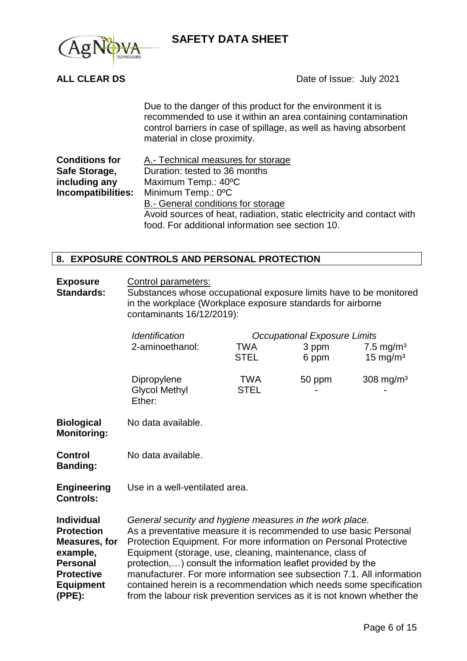

**ALL CLEAR DS** Date of Issue: July 2021

Due to the danger of this product for the environment it is recommended to use it within an area containing contamination control barriers in case of spillage, as well as having absorbent material in close proximity.

| <b>Conditions for</b> | A.- Technical measures for storage                                    |  |  |
|-----------------------|-----------------------------------------------------------------------|--|--|
| Safe Storage,         | Duration: tested to 36 months                                         |  |  |
| including any         | Maximum Temp.: 40°C                                                   |  |  |
|                       | <b>Incompatibilities:</b> Minimum Temp.: 0°C                          |  |  |
|                       | B.- General conditions for storage                                    |  |  |
|                       | Avoid sources of heat, radiation, static electricity and contact with |  |  |
|                       | food. For additional information see section 10.                      |  |  |

### **8. EXPOSURE CONTROLS AND PERSONAL PROTECTION**

**Exposure**  Control parameters:

**Standards:** Substances whose occupational exposure limits have to be monitored in the workplace (Workplace exposure standards for airborne contaminants 16/12/2019):

|                                                                                                                                                  | Identification<br>2-aminoethanol:                                                                                                                                                                                                                                                                                                                                                                                                                                                                                                                          | <b>Occupational Exposure Limits</b><br><b>TWA</b><br>3 ppm<br>7.5 mg/m <sup>3</sup><br><b>STEL</b><br>15 mg/m <sup>3</sup><br>6 ppm |        |                         |  |
|--------------------------------------------------------------------------------------------------------------------------------------------------|------------------------------------------------------------------------------------------------------------------------------------------------------------------------------------------------------------------------------------------------------------------------------------------------------------------------------------------------------------------------------------------------------------------------------------------------------------------------------------------------------------------------------------------------------------|-------------------------------------------------------------------------------------------------------------------------------------|--------|-------------------------|--|
|                                                                                                                                                  | Dipropylene<br><b>Glycol Methyl</b><br>Ether:                                                                                                                                                                                                                                                                                                                                                                                                                                                                                                              | TWA<br><b>STEL</b>                                                                                                                  | 50 ppm | $308$ mg/m <sup>3</sup> |  |
| <b>Biological</b><br><b>Monitoring:</b>                                                                                                          | No data available.                                                                                                                                                                                                                                                                                                                                                                                                                                                                                                                                         |                                                                                                                                     |        |                         |  |
| <b>Control</b><br><b>Banding:</b>                                                                                                                | No data available.                                                                                                                                                                                                                                                                                                                                                                                                                                                                                                                                         |                                                                                                                                     |        |                         |  |
| <b>Engineering</b><br><b>Controls:</b>                                                                                                           | Use in a well-ventilated area.                                                                                                                                                                                                                                                                                                                                                                                                                                                                                                                             |                                                                                                                                     |        |                         |  |
| <b>Individual</b><br><b>Protection</b><br><b>Measures, for</b><br>example,<br><b>Personal</b><br><b>Protective</b><br><b>Equipment</b><br>(PPE): | General security and hygiene measures in the work place.<br>As a preventative measure it is recommended to use basic Personal<br>Protection Equipment. For more information on Personal Protective<br>Equipment (storage, use, cleaning, maintenance, class of<br>protection,) consult the information leaflet provided by the<br>manufacturer. For more information see subsection 7.1. All information<br>contained herein is a recommendation which needs some specification<br>from the labour risk prevention services as it is not known whether the |                                                                                                                                     |        |                         |  |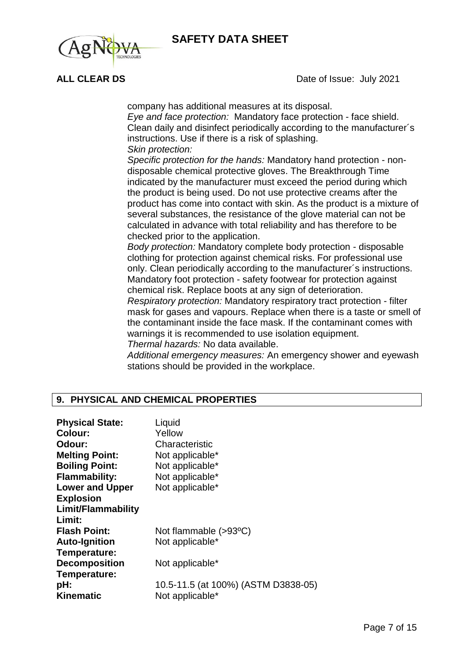

**ALL CLEAR DS** Date of Issue: July 2021

company has additional measures at its disposal.

*Eye and face protection:* Mandatory face protection - face shield. Clean daily and disinfect periodically according to the manufacturer´s instructions. Use if there is a risk of splashing. *Skin protection:*

*Specific protection for the hands:* Mandatory hand protection - non-

disposable chemical protective gloves. The Breakthrough Time indicated by the manufacturer must exceed the period during which the product is being used. Do not use protective creams after the product has come into contact with skin. As the product is a mixture of several substances, the resistance of the glove material can not be calculated in advance with total reliability and has therefore to be checked prior to the application.

*Body protection:* Mandatory complete body protection - disposable clothing for protection against chemical risks. For professional use only. Clean periodically according to the manufacturer´s instructions. Mandatory foot protection - safety footwear for protection against chemical risk. Replace boots at any sign of deterioration.

*Respiratory protection:* Mandatory respiratory tract protection - filter mask for gases and vapours. Replace when there is a taste or smell of the contaminant inside the face mask. If the contaminant comes with warnings it is recommended to use isolation equipment. *Thermal hazards:* No data available.

*Additional emergency measures:* An emergency shower and eyewash stations should be provided in the workplace.

### **9. PHYSICAL AND CHEMICAL PROPERTIES**

| <b>Physical State:</b>    | Liquid                              |
|---------------------------|-------------------------------------|
| <b>Colour:</b>            | Yellow                              |
| Odour:                    | Characteristic                      |
| <b>Melting Point:</b>     | Not applicable*                     |
| <b>Boiling Point:</b>     | Not applicable*                     |
| <b>Flammability:</b>      | Not applicable*                     |
| <b>Lower and Upper</b>    | Not applicable*                     |
| <b>Explosion</b>          |                                     |
| <b>Limit/Flammability</b> |                                     |
| Limit:                    |                                     |
| <b>Flash Point:</b>       | Not flammable $(>93°C)$             |
| <b>Auto-Ignition</b>      | Not applicable*                     |
| Temperature:              |                                     |
| <b>Decomposition</b>      | Not applicable*                     |
| Temperature:              |                                     |
| pH:                       | 10.5-11.5 (at 100%) (ASTM D3838-05) |
| <b>Kinematic</b>          | Not applicable*                     |
|                           |                                     |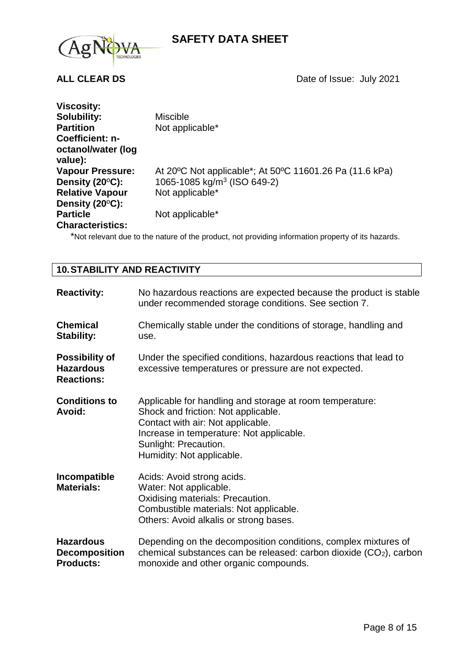



| <b>Viscosity:</b>             |                                                         |
|-------------------------------|---------------------------------------------------------|
| <b>Solubility:</b>            | <b>Miscible</b>                                         |
| <b>Partition</b>              | Not applicable*                                         |
| Coefficient: n-               |                                                         |
| octanol/water (log<br>value): |                                                         |
| <b>Vapour Pressure:</b>       | At 20°C Not applicable*; At 50°C 11601.26 Pa (11.6 kPa) |
| Density (20°C):               | 1065-1085 kg/m <sup>3</sup> (ISO 649-2)                 |
| <b>Relative Vapour</b>        | Not applicable*                                         |
| Density $(20^{\circ}C)$ :     |                                                         |
| <b>Particle</b>               | Not applicable*                                         |
| <b>Characteristics:</b>       |                                                         |

\*Not relevant due to the nature of the product, not providing information property of its hazards.

### **10.STABILITY AND REACTIVITY**

| <b>Reactivity:</b>                                             | No hazardous reactions are expected because the product is stable<br>under recommended storage conditions. See section 7.                                                                                                              |
|----------------------------------------------------------------|----------------------------------------------------------------------------------------------------------------------------------------------------------------------------------------------------------------------------------------|
| <b>Chemical</b><br><b>Stability:</b>                           | Chemically stable under the conditions of storage, handling and<br>use.                                                                                                                                                                |
| <b>Possibility of</b><br><b>Hazardous</b><br><b>Reactions:</b> | Under the specified conditions, hazardous reactions that lead to<br>excessive temperatures or pressure are not expected.                                                                                                               |
| <b>Conditions to</b><br><b>Avoid:</b>                          | Applicable for handling and storage at room temperature:<br>Shock and friction: Not applicable.<br>Contact with air: Not applicable.<br>Increase in temperature: Not applicable.<br>Sunlight: Precaution.<br>Humidity: Not applicable. |
| Incompatible<br><b>Materials:</b>                              | Acids: Avoid strong acids.<br>Water: Not applicable.<br>Oxidising materials: Precaution.<br>Combustible materials: Not applicable.<br>Others: Avoid alkalis or strong bases.                                                           |
| <b>Hazardous</b><br><b>Decomposition</b><br><b>Products:</b>   | Depending on the decomposition conditions, complex mixtures of<br>chemical substances can be released: carbon dioxide $(CO2)$ , carbon<br>monoxide and other organic compounds.                                                        |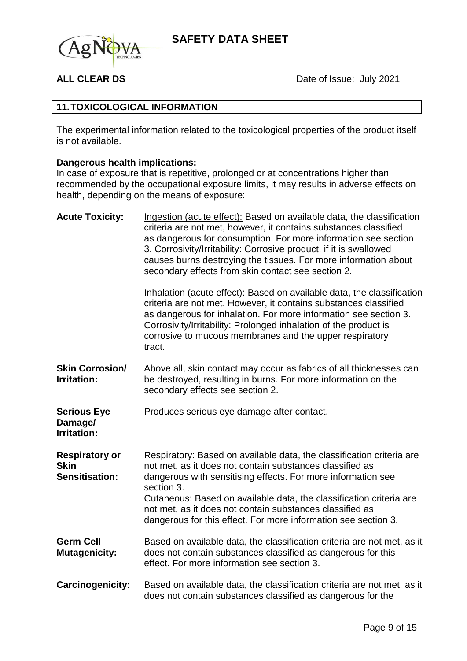

**ALL CLEAR DS** Date of Issue: July 2021

### **11.TOXICOLOGICAL INFORMATION**

The experimental information related to the toxicological properties of the product itself is not available.

## **Dangerous health implications:**

In case of exposure that is repetitive, prolonged or at concentrations higher than recommended by the occupational exposure limits, it may results in adverse effects on health, depending on the means of exposure:

| <b>Acute Toxicity:</b>                                        | Ingestion (acute effect): Based on available data, the classification<br>criteria are not met, however, it contains substances classified<br>as dangerous for consumption. For more information see section<br>3. Corrosivity/Irritability: Corrosive product, if it is swallowed<br>causes burns destroying the tissues. For more information about<br>secondary effects from skin contact see section 2.           |
|---------------------------------------------------------------|----------------------------------------------------------------------------------------------------------------------------------------------------------------------------------------------------------------------------------------------------------------------------------------------------------------------------------------------------------------------------------------------------------------------|
|                                                               | Inhalation (acute effect): Based on available data, the classification<br>criteria are not met. However, it contains substances classified<br>as dangerous for inhalation. For more information see section 3.<br>Corrosivity/Irritability: Prolonged inhalation of the product is<br>corrosive to mucous membranes and the upper respiratory<br>tract.                                                              |
| <b>Skin Corrosion/</b><br><b>Irritation:</b>                  | Above all, skin contact may occur as fabrics of all thicknesses can<br>be destroyed, resulting in burns. For more information on the<br>secondary effects see section 2.                                                                                                                                                                                                                                             |
| <b>Serious Eye</b><br>Damage/<br><b>Irritation:</b>           | Produces serious eye damage after contact.                                                                                                                                                                                                                                                                                                                                                                           |
| <b>Respiratory or</b><br><b>Skin</b><br><b>Sensitisation:</b> | Respiratory: Based on available data, the classification criteria are<br>not met, as it does not contain substances classified as<br>dangerous with sensitising effects. For more information see<br>section 3.<br>Cutaneous: Based on available data, the classification criteria are<br>not met, as it does not contain substances classified as<br>dangerous for this effect. For more information see section 3. |
| <b>Germ Cell</b><br><b>Mutagenicity:</b>                      | Based on available data, the classification criteria are not met, as it<br>does not contain substances classified as dangerous for this<br>effect. For more information see section 3.                                                                                                                                                                                                                               |
| Carcinogenicity:                                              | Based on available data, the classification criteria are not met, as it<br>does not contain substances classified as dangerous for the                                                                                                                                                                                                                                                                               |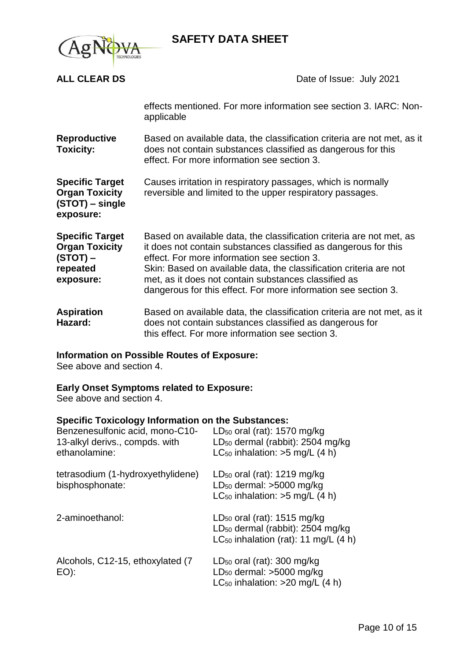

**ALL CLEAR DS** Date of Issue: July 2021 effects mentioned. For more information see section 3. IARC: Nonapplicable **Reproductive Toxicity:** Based on available data, the classification criteria are not met, as it does not contain substances classified as dangerous for this effect. For more information see section 3. **Specific Target Organ Toxicity (STOT) – single exposure:** Causes irritation in respiratory passages, which is normally reversible and limited to the upper respiratory passages. **Specific Target Organ Toxicity (STOT) – repeated exposure:** Based on available data, the classification criteria are not met, as it does not contain substances classified as dangerous for this effect. For more information see section 3. Skin: Based on available data, the classification criteria are not met, as it does not contain substances classified as dangerous for this effect. For more information see section 3. **Aspiration Hazard:** Based on available data, the classification criteria are not met, as it does not contain substances classified as dangerous for this effect. For more information see section 3. **Information on Possible Routes of Exposure:**

See above and section 4.

### **Early Onset Symptoms related to Exposure:**

See above and section 4.

#### **Specific Toxicology Information on the Substances:**

| Benzenesulfonic acid, mono-C10-<br>13-alkyl derivs., compds. with<br>ethanolamine: | LD <sub>50</sub> oral (rat): $1570$ mg/kg<br>LD <sub>50</sub> dermal (rabbit): 2504 mg/kg<br>$LC_{50}$ inhalation: >5 mg/L (4 h)       |
|------------------------------------------------------------------------------------|----------------------------------------------------------------------------------------------------------------------------------------|
| tetrasodium (1-hydroxyethylidene)<br>bisphosphonate:                               | $LD_{50}$ oral (rat): 1219 mg/kg<br>$LD_{50}$ dermal: $>5000$ mg/kg<br>$LC_{50}$ inhalation: >5 mg/L (4 h)                             |
| 2-aminoethanol:                                                                    | $LD_{50}$ oral (rat): 1515 mg/kg<br>LD <sub>50</sub> dermal (rabbit): 2504 mg/kg<br>LC <sub>50</sub> inhalation (rat): 11 mg/L $(4 h)$ |
| Alcohols, C12-15, ethoxylated (7)<br>EO):                                          | $LD_{50}$ oral (rat): 300 mg/kg<br>$LD_{50}$ dermal: >5000 mg/kg<br>LC <sub>50</sub> inhalation: $>20$ mg/L (4 h)                      |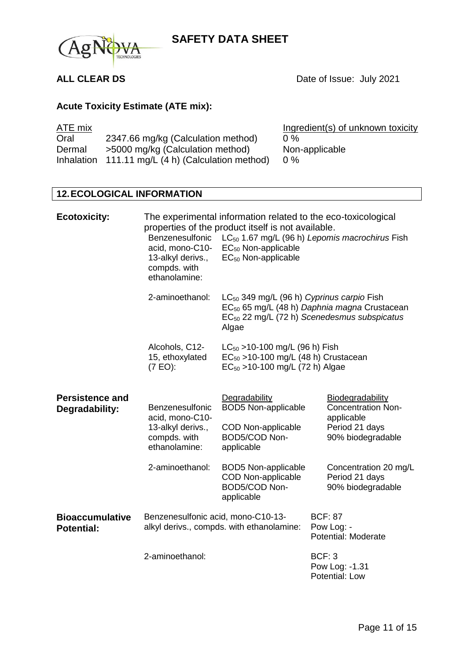

**ALL CLEAR DS** Date of Issue: July 2021

## **Acute Toxicity Estimate (ATE mix):**

| ATE mix |                                                   | Ingredient(s) of unknown toxicity |
|---------|---------------------------------------------------|-----------------------------------|
| Oral    | 2347.66 mg/kg (Calculation method)                | $0\%$                             |
| Dermal  | >5000 mg/kg (Calculation method)                  | Non-applicable                    |
|         | Inhalation 111.11 mg/L (4 h) (Calculation method) | $0\%$                             |

## **12.ECOLOGICAL INFORMATION**

| <b>Ecotoxicity:</b>                         | Benzenesulfonic<br>acid, mono-C10-<br>13-alkyl derivs.,<br>compds. with<br>ethanolamine: | The experimental information related to the eco-toxicological<br>properties of the product itself is not available.<br>LC <sub>50</sub> 1.67 mg/L (96 h) Lepomis macrochirus Fish<br>$EC_{50}$ Non-applicable<br>$EC_{50}$ Non-applicable |                                                                                                              |
|---------------------------------------------|------------------------------------------------------------------------------------------|-------------------------------------------------------------------------------------------------------------------------------------------------------------------------------------------------------------------------------------------|--------------------------------------------------------------------------------------------------------------|
|                                             | 2-aminoethanol:                                                                          | LC <sub>50</sub> 349 mg/L (96 h) Cyprinus carpio Fish<br>Algae                                                                                                                                                                            | EC <sub>50</sub> 65 mg/L (48 h) Daphnia magna Crustacean<br>$EC_{50}$ 22 mg/L (72 h) Scenedesmus subspicatus |
|                                             | Alcohols, C12-<br>15, ethoxylated<br>(7 EO):                                             | $LC_{50}$ > 10-100 mg/L (96 h) Fish<br>$EC_{50}$ >10-100 mg/L (48 h) Crustacean<br>$EC_{50}$ >10-100 mg/L (72 h) Algae                                                                                                                    |                                                                                                              |
| <b>Persistence and</b><br>Degradability:    | Benzenesulfonic<br>acid, mono-C10-<br>13-alkyl derivs.,<br>compds. with<br>ethanolamine: | Degradability<br><b>BOD5 Non-applicable</b><br><b>COD Non-applicable</b><br>BOD5/COD Non-<br>applicable                                                                                                                                   | Biodegradability<br><b>Concentration Non-</b><br>applicable<br>Period 21 days<br>90% biodegradable           |
|                                             | 2-aminoethanol:                                                                          | <b>BOD5 Non-applicable</b><br><b>COD Non-applicable</b><br>BOD5/COD Non-<br>applicable                                                                                                                                                    | Concentration 20 mg/L<br>Period 21 days<br>90% biodegradable                                                 |
| <b>Bioaccumulative</b><br><b>Potential:</b> | Benzenesulfonic acid, mono-C10-13-                                                       | alkyl derivs., compds. with ethanolamine:                                                                                                                                                                                                 | <b>BCF: 87</b><br>Pow Log: -<br>Potential: Moderate                                                          |
|                                             | 2-aminoethanol:                                                                          |                                                                                                                                                                                                                                           | <b>BCF: 3</b><br>Pow Log: -1.31<br>Potential: Low                                                            |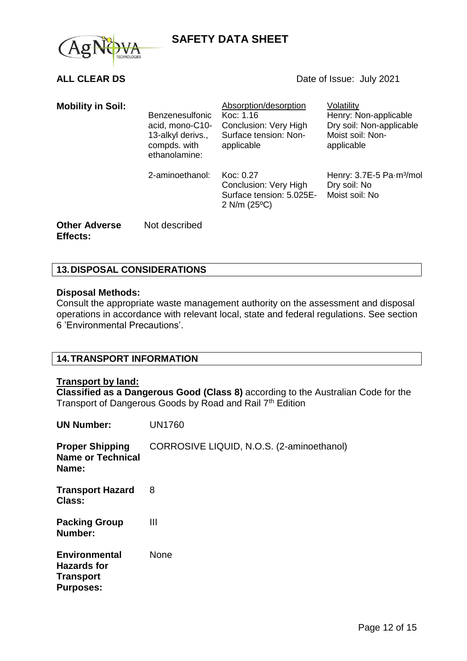



| <b>Mobility in Soil:</b>         | <b>Benzenesulfonic</b><br>acid, mono-C10-<br>13-alkyl derivs.,<br>compds. with<br>ethanolamine: | Absorption/desorption<br>Koc: 1.16<br>Conclusion: Very High<br>Surface tension: Non-<br>applicable | Volatility<br>Henry: Non-applicable<br>Dry soil: Non-applicable<br>Moist soil: Non-<br>applicable |
|----------------------------------|-------------------------------------------------------------------------------------------------|----------------------------------------------------------------------------------------------------|---------------------------------------------------------------------------------------------------|
|                                  | 2-aminoethanol:                                                                                 | Koc: 0.27<br>Conclusion: Very High<br>Surface tension: 5.025E-<br>$2$ N/m (25 $^{\circ}$ C)        | Henry: 3.7E-5 Pa-m <sup>3</sup> /mol<br>Dry soil: No<br>Moist soil: No                            |
| <b>Other Adverse</b><br>Effects: | Not described                                                                                   |                                                                                                    |                                                                                                   |

### **13.DISPOSAL CONSIDERATIONS**

#### **Disposal Methods:**

Consult the appropriate waste management authority on the assessment and disposal operations in accordance with relevant local, state and federal regulations. See section 6 'Environmental Precautions'.

### **14.TRANSPORT INFORMATION**

#### **Transport by land:**

**Classified as a Dangerous Good (Class 8)** according to the Australian Code for the Transport of Dangerous Goods by Road and Rail 7<sup>th</sup> Edition

| <b>UN Number:</b>                                                                  | <b>UN1760</b>                             |
|------------------------------------------------------------------------------------|-------------------------------------------|
| <b>Proper Shipping</b><br><b>Name or Technical</b><br>Name:                        | CORROSIVE LIQUID, N.O.S. (2-aminoethanol) |
| <b>Transport Hazard</b><br><b>Class:</b>                                           | 8                                         |
| <b>Packing Group</b><br>Number:                                                    | Ш                                         |
| <b>Environmental</b><br><b>Hazards for</b><br><b>Transport</b><br><b>Purposes:</b> | <b>None</b>                               |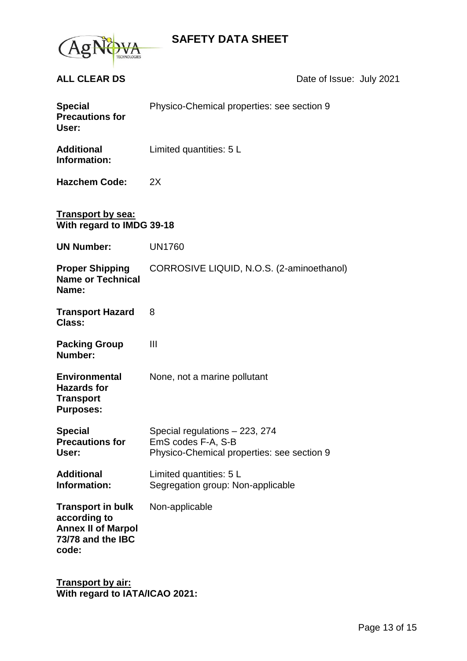

**ALL CLEAR DS** Date of Issue: July 2021

| <b>Special</b><br><b>Precautions for</b><br>User:                                                   | Physico-Chemical properties: see section 9                                                         |  |
|-----------------------------------------------------------------------------------------------------|----------------------------------------------------------------------------------------------------|--|
| <b>Additional</b><br>Information:                                                                   | Limited quantities: 5 L                                                                            |  |
| <b>Hazchem Code:</b>                                                                                | 2X                                                                                                 |  |
| <b>Transport by sea:</b><br>With regard to IMDG 39-18                                               |                                                                                                    |  |
| <b>UN Number:</b>                                                                                   | <b>UN1760</b>                                                                                      |  |
| <b>Proper Shipping</b><br><b>Name or Technical</b><br>Name:                                         | CORROSIVE LIQUID, N.O.S. (2-aminoethanol)                                                          |  |
| <b>Transport Hazard</b><br>Class:                                                                   | 8                                                                                                  |  |
| <b>Packing Group</b><br>Number:                                                                     | Ш                                                                                                  |  |
| <b>Environmental</b><br><b>Hazards for</b><br><b>Transport</b><br><b>Purposes:</b>                  | None, not a marine pollutant                                                                       |  |
| <b>Special</b><br><b>Precautions for</b><br>User:                                                   | Special regulations - 223, 274<br>EmS codes F-A, S-B<br>Physico-Chemical properties: see section 9 |  |
| <b>Additional</b><br>Information:                                                                   | Limited quantities: 5 L<br>Segregation group: Non-applicable                                       |  |
| <b>Transport in bulk</b><br>according to<br><b>Annex II of Marpol</b><br>73/78 and the IBC<br>code: | Non-applicable                                                                                     |  |

**Transport by air: With regard to IATA/ICAO 2021:**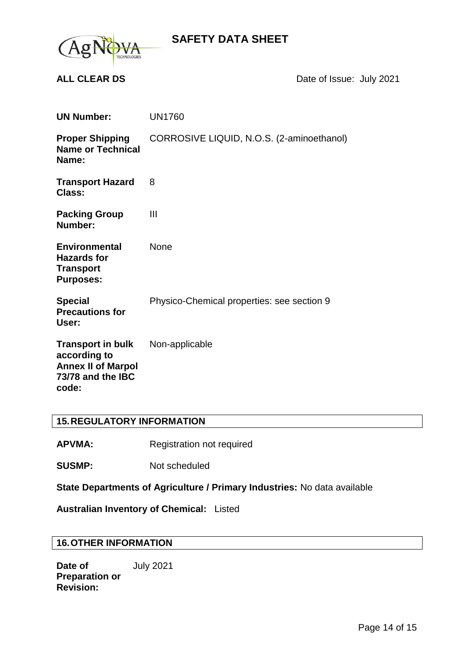

**ALL CLEAR DS** Date of Issue: July 2021

| <b>UN Number:</b>                                                                                   | <b>UN1760</b>                              |
|-----------------------------------------------------------------------------------------------------|--------------------------------------------|
| <b>Proper Shipping</b><br><b>Name or Technical</b><br>Name:                                         | CORROSIVE LIQUID, N.O.S. (2-aminoethanol)  |
| <b>Transport Hazard</b><br>Class:                                                                   | 8                                          |
| <b>Packing Group</b><br>Number:                                                                     | Ш                                          |
| <b>Environmental</b><br><b>Hazards for</b><br><b>Transport</b><br><b>Purposes:</b>                  | <b>None</b>                                |
| <b>Special</b><br><b>Precautions for</b><br>User:                                                   | Physico-Chemical properties: see section 9 |
| <b>Transport in bulk</b><br>according to<br><b>Annex II of Marpol</b><br>73/78 and the IBC<br>code: | Non-applicable                             |

### **15.REGULATORY INFORMATION**

APVMA: Registration not required

**SUSMP:** Not scheduled

**State Departments of Agriculture / Primary Industries:** No data available

**Australian Inventory of Chemical:** Listed

### **16.OTHER INFORMATION**

**Date of Preparation or Revision:** July 2021